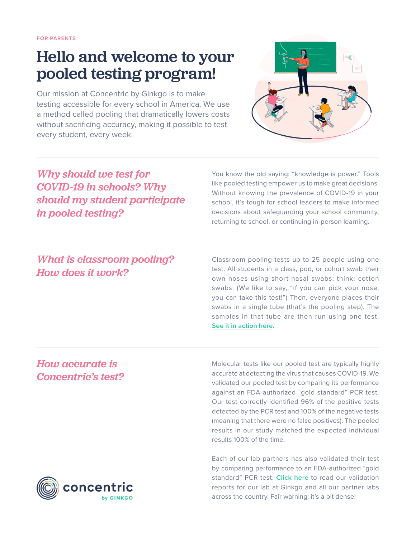# Hello and welcome to your pooled testing program!

Our mission at Concentric by Ginkgo is to make testing accessible for every school in America. We use a method called pooling that dramatically lowers costs without sacrificing accuracy, making it possible to test every student, every week.



## *Why should we test for COVID-19 in schools? Why should my student participate in pooled testing?*

You know the old saying: "knowledge is power." Tools like pooled testing empower us to make great decisions. Without knowing the prevalence of COVID-19 in your school, it's tough for school leaders to make informed decisions about safeguarding your school community, returning to school, or continuing in-person learning.

### *What is classroom pooling? How does it work?*

Classroom pooling tests up to 25 people using one test. All students in a class, pod, or cohort swab their own noses using short nasal swabs; think: cotton swabs. (We like to say, "if you can pick your nose, you can take this test!") Then, everyone places their swabs in a single tube (that's the pooling step). The samples in that tube are then run using one test. **[See it in action here.](https://www.concentricbyginkgo.com/how-it-works/)** 

#### *How accurate is Concentric's test?*

Molecular tests like our pooled test are typically highly accurate at detecting the virus that causes COVID-19. We validated our pooled test by comparing its performance against an FDA-authorized "gold standard" PCR test. Our test correctly identified 96% of the positive tests detected by the PCR test and 100% of the negative tests (meaning that there were no false positives). The pooled results in our study matched the expected individual results 100% of the time.

Each of our lab partners has also validated their test by comparing performance to an FDA-authorized "gold standard" PCR test. **[Click here](https://www.concentricbyginkgo.com/pooling-lab-validation-summaries/)** to read our validation reports for our lab at Ginkgo and all our partner labs across the country. Fair warning: it's a bit dense!